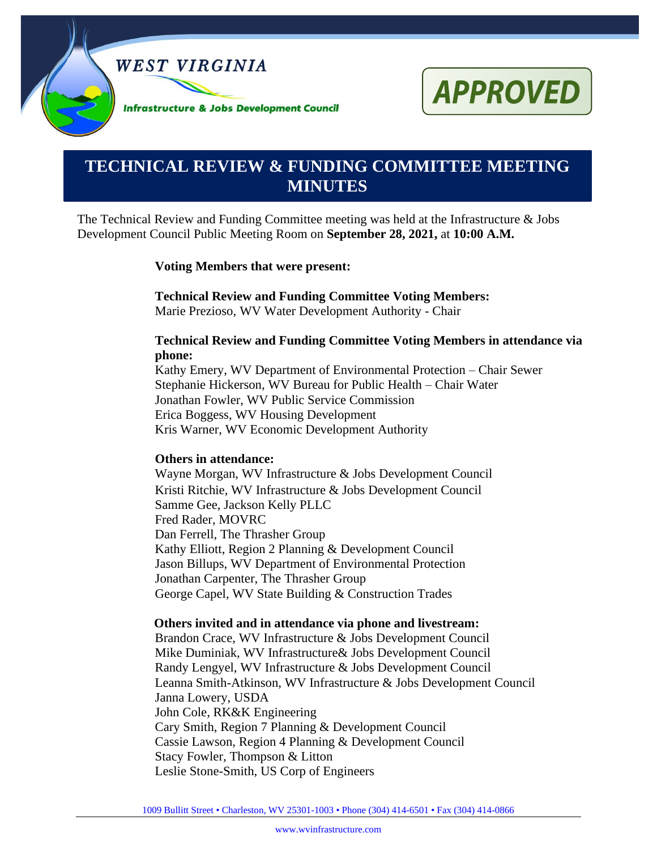



# **0000000000000000000000000000000000000000000000000000. TECHNICAL REVIEW & FUNDING COMMITTEE MEETING MINUTES**

The Technical Review and Funding Committee meeting was held at the Infrastructure & Jobs Development Council Public Meeting Room on **September 28, 2021,** at **10:00 A.M.**

#### **Voting Members that were present:**

**Technical Review and Funding Committee Voting Members:**

Marie Prezioso, WV Water Development Authority - Chair

#### **Technical Review and Funding Committee Voting Members in attendance via phone:**

Kathy Emery, WV Department of Environmental Protection – Chair Sewer Stephanie Hickerson, WV Bureau for Public Health – Chair Water Jonathan Fowler, WV Public Service Commission Erica Boggess, WV Housing Development Kris Warner, WV Economic Development Authority

#### **Others in attendance:**

Wayne Morgan, WV Infrastructure & Jobs Development Council Kristi Ritchie, WV Infrastructure & Jobs Development Council Samme Gee, Jackson Kelly PLLC Fred Rader, MOVRC Dan Ferrell, The Thrasher Group Kathy Elliott, Region 2 Planning & Development Council Jason Billups, WV Department of Environmental Protection Jonathan Carpenter, The Thrasher Group George Capel, WV State Building & Construction Trades

#### **Others invited and in attendance via phone and livestream:**

Brandon Crace, WV Infrastructure & Jobs Development Council Mike Duminiak, WV Infrastructure& Jobs Development Council Randy Lengyel, WV Infrastructure & Jobs Development Council Leanna Smith-Atkinson, WV Infrastructure & Jobs Development Council Janna Lowery, USDA John Cole, RK&K Engineering Cary Smith, Region 7 Planning & Development Council Cassie Lawson, Region 4 Planning & Development Council Stacy Fowler, Thompson & Litton Leslie Stone-Smith, US Corp of Engineers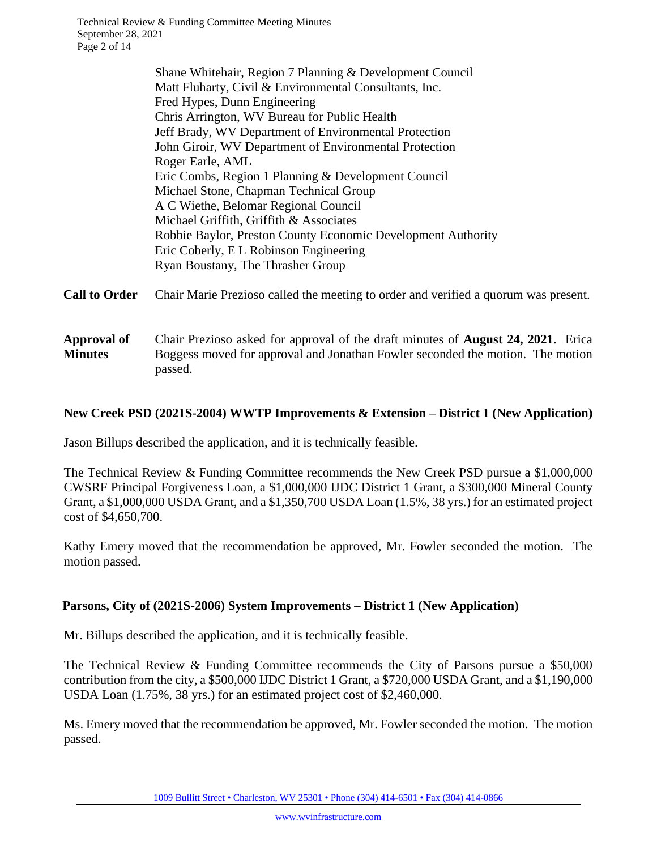Technical Review & Funding Committee Meeting Minutes September 28, 2021 Page 2 of 14

> Shane Whitehair, Region 7 Planning & Development Council Matt Fluharty, Civil & Environmental Consultants, Inc. Fred Hypes, Dunn Engineering Chris Arrington, WV Bureau for Public Health Jeff Brady, WV Department of Environmental Protection John Giroir, WV Department of Environmental Protection Roger Earle, AML Eric Combs, Region 1 Planning & Development Council Michael Stone, Chapman Technical Group A C Wiethe, Belomar Regional Council Michael Griffith, Griffith & Associates Robbie Baylor, Preston County Economic Development Authority Eric Coberly, E L Robinson Engineering Ryan Boustany, The Thrasher Group

**Call to Order** Chair Marie Prezioso called the meeting to order and verified a quorum was present.

**Approval of Minutes** Chair Prezioso asked for approval of the draft minutes of **August 24, 2021**. Erica Boggess moved for approval and Jonathan Fowler seconded the motion. The motion passed.

## **New Creek PSD (2021S-2004) WWTP Improvements & Extension – District 1 (New Application)**

Jason Billups described the application, and it is technically feasible.

The Technical Review & Funding Committee recommends the New Creek PSD pursue a \$1,000,000 CWSRF Principal Forgiveness Loan, a \$1,000,000 IJDC District 1 Grant, a \$300,000 Mineral County Grant, a \$1,000,000 USDA Grant, and a \$1,350,700 USDA Loan (1.5%, 38 yrs.) for an estimated project cost of \$4,650,700.

Kathy Emery moved that the recommendation be approved, Mr. Fowler seconded the motion. The motion passed.

#### **Parsons, City of (2021S-2006) System Improvements – District 1 (New Application)**

Mr. Billups described the application, and it is technically feasible.

The Technical Review & Funding Committee recommends the City of Parsons pursue a \$50,000 contribution from the city, a \$500,000 IJDC District 1 Grant, a \$720,000 USDA Grant, and a \$1,190,000 USDA Loan (1.75%, 38 yrs.) for an estimated project cost of \$2,460,000.

Ms. Emery moved that the recommendation be approved, Mr. Fowler seconded the motion. The motion passed.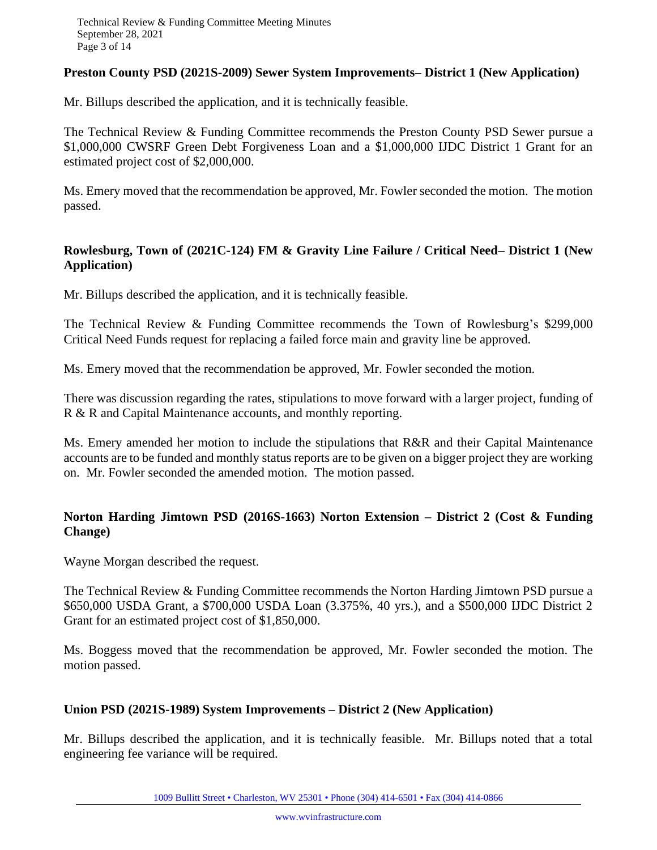## **Preston County PSD (2021S-2009) Sewer System Improvements– District 1 (New Application)**

Mr. Billups described the application, and it is technically feasible.

The Technical Review & Funding Committee recommends the Preston County PSD Sewer pursue a \$1,000,000 CWSRF Green Debt Forgiveness Loan and a \$1,000,000 IJDC District 1 Grant for an estimated project cost of \$2,000,000.

Ms. Emery moved that the recommendation be approved, Mr. Fowler seconded the motion. The motion passed.

## **Rowlesburg, Town of (2021C-124) FM & Gravity Line Failure / Critical Need– District 1 (New Application)**

Mr. Billups described the application, and it is technically feasible.

The Technical Review & Funding Committee recommends the Town of Rowlesburg's \$299,000 Critical Need Funds request for replacing a failed force main and gravity line be approved.

Ms. Emery moved that the recommendation be approved, Mr. Fowler seconded the motion.

There was discussion regarding the rates, stipulations to move forward with a larger project, funding of R & R and Capital Maintenance accounts, and monthly reporting.

Ms. Emery amended her motion to include the stipulations that R&R and their Capital Maintenance accounts are to be funded and monthly status reports are to be given on a bigger project they are working on. Mr. Fowler seconded the amended motion. The motion passed.

# **Norton Harding Jimtown PSD (2016S-1663) Norton Extension – District 2 (Cost & Funding Change)**

Wayne Morgan described the request.

The Technical Review & Funding Committee recommends the Norton Harding Jimtown PSD pursue a \$650,000 USDA Grant, a \$700,000 USDA Loan (3.375%, 40 yrs.), and a \$500,000 IJDC District 2 Grant for an estimated project cost of \$1,850,000.

Ms. Boggess moved that the recommendation be approved, Mr. Fowler seconded the motion. The motion passed.

#### **Union PSD (2021S-1989) System Improvements – District 2 (New Application)**

Mr. Billups described the application, and it is technically feasible. Mr. Billups noted that a total engineering fee variance will be required.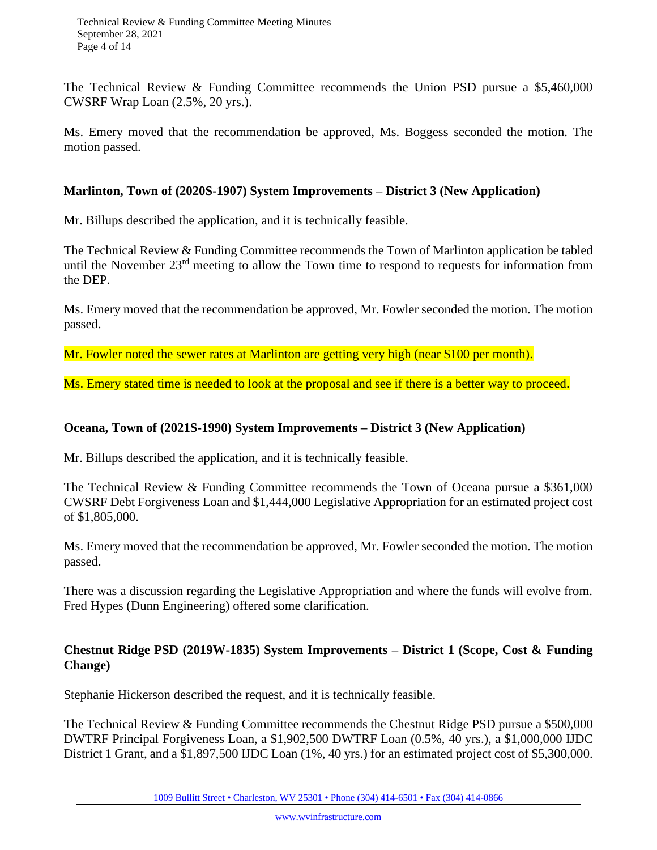The Technical Review & Funding Committee recommends the Union PSD pursue a \$5,460,000 CWSRF Wrap Loan (2.5%, 20 yrs.).

Ms. Emery moved that the recommendation be approved, Ms. Boggess seconded the motion. The motion passed.

#### **Marlinton, Town of (2020S-1907) System Improvements – District 3 (New Application)**

Mr. Billups described the application, and it is technically feasible.

The Technical Review & Funding Committee recommends the Town of Marlinton application be tabled until the November  $23<sup>rd</sup>$  meeting to allow the Town time to respond to requests for information from the DEP.

Ms. Emery moved that the recommendation be approved, Mr. Fowler seconded the motion. The motion passed.

Mr. Fowler noted the sewer rates at Marlinton are getting very high (near \$100 per month).

Ms. Emery stated time is needed to look at the proposal and see if there is a better way to proceed.

#### **Oceana, Town of (2021S-1990) System Improvements – District 3 (New Application)**

Mr. Billups described the application, and it is technically feasible.

The Technical Review & Funding Committee recommends the Town of Oceana pursue a \$361,000 CWSRF Debt Forgiveness Loan and \$1,444,000 Legislative Appropriation for an estimated project cost of \$1,805,000.

Ms. Emery moved that the recommendation be approved, Mr. Fowler seconded the motion. The motion passed.

There was a discussion regarding the Legislative Appropriation and where the funds will evolve from. Fred Hypes (Dunn Engineering) offered some clarification.

## **Chestnut Ridge PSD (2019W-1835) System Improvements – District 1 (Scope, Cost & Funding Change)**

Stephanie Hickerson described the request, and it is technically feasible.

The Technical Review & Funding Committee recommends the Chestnut Ridge PSD pursue a \$500,000 DWTRF Principal Forgiveness Loan, a \$1,902,500 DWTRF Loan (0.5%, 40 yrs.), a \$1,000,000 IJDC District 1 Grant, and a \$1,897,500 IJDC Loan (1%, 40 yrs.) for an estimated project cost of \$5,300,000.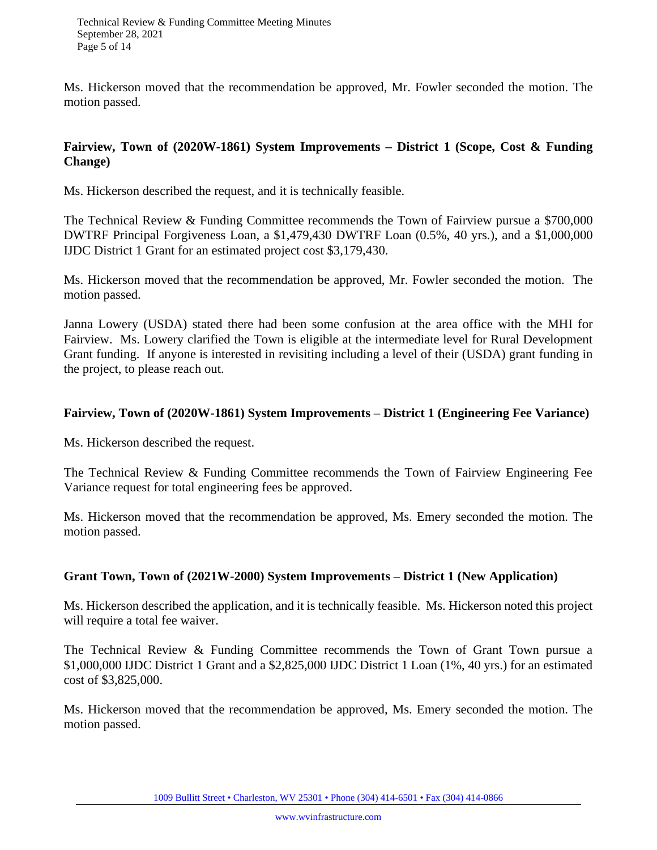Ms. Hickerson moved that the recommendation be approved, Mr. Fowler seconded the motion. The motion passed.

## **Fairview, Town of (2020W-1861) System Improvements – District 1 (Scope, Cost & Funding Change)**

Ms. Hickerson described the request, and it is technically feasible.

The Technical Review & Funding Committee recommends the Town of Fairview pursue a \$700,000 DWTRF Principal Forgiveness Loan, a \$1,479,430 DWTRF Loan (0.5%, 40 yrs.), and a \$1,000,000 IJDC District 1 Grant for an estimated project cost \$3,179,430.

Ms. Hickerson moved that the recommendation be approved, Mr. Fowler seconded the motion. The motion passed.

Janna Lowery (USDA) stated there had been some confusion at the area office with the MHI for Fairview. Ms. Lowery clarified the Town is eligible at the intermediate level for Rural Development Grant funding. If anyone is interested in revisiting including a level of their (USDA) grant funding in the project, to please reach out.

## **Fairview, Town of (2020W-1861) System Improvements – District 1 (Engineering Fee Variance)**

Ms. Hickerson described the request.

The Technical Review & Funding Committee recommends the Town of Fairview Engineering Fee Variance request for total engineering fees be approved.

Ms. Hickerson moved that the recommendation be approved, Ms. Emery seconded the motion. The motion passed.

#### **Grant Town, Town of (2021W-2000) System Improvements – District 1 (New Application)**

Ms. Hickerson described the application, and it is technically feasible. Ms. Hickerson noted this project will require a total fee waiver.

The Technical Review & Funding Committee recommends the Town of Grant Town pursue a \$1,000,000 IJDC District 1 Grant and a \$2,825,000 IJDC District 1 Loan (1%, 40 yrs.) for an estimated cost of \$3,825,000.

Ms. Hickerson moved that the recommendation be approved, Ms. Emery seconded the motion. The motion passed.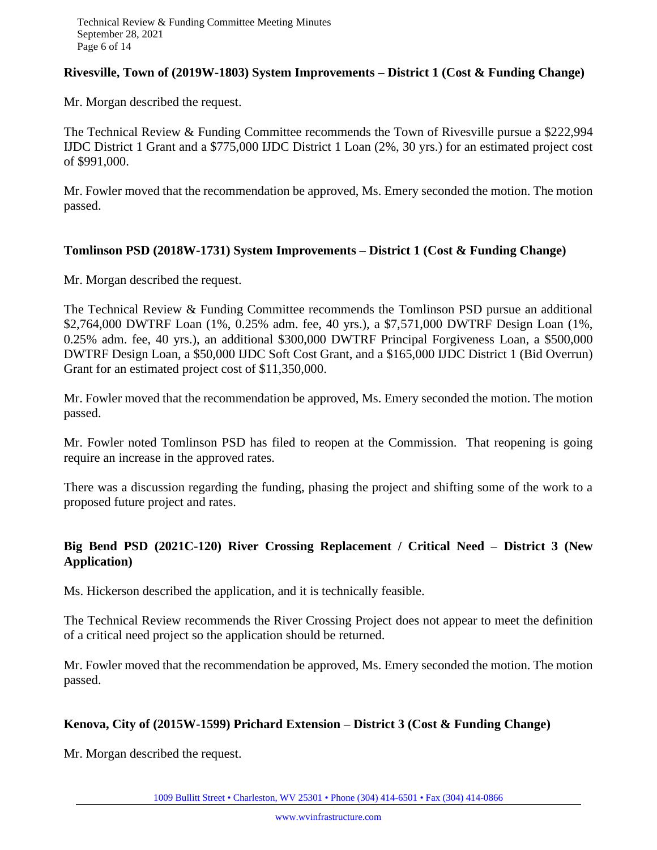## **Rivesville, Town of (2019W-1803) System Improvements – District 1 (Cost & Funding Change)**

Mr. Morgan described the request.

The Technical Review & Funding Committee recommends the Town of Rivesville pursue a \$222,994 IJDC District 1 Grant and a \$775,000 IJDC District 1 Loan (2%, 30 yrs.) for an estimated project cost of \$991,000.

Mr. Fowler moved that the recommendation be approved, Ms. Emery seconded the motion. The motion passed.

#### **Tomlinson PSD (2018W-1731) System Improvements – District 1 (Cost & Funding Change)**

Mr. Morgan described the request.

The Technical Review & Funding Committee recommends the Tomlinson PSD pursue an additional \$2,764,000 DWTRF Loan (1%, 0.25% adm. fee, 40 yrs.), a \$7,571,000 DWTRF Design Loan (1%, 0.25% adm. fee, 40 yrs.), an additional \$300,000 DWTRF Principal Forgiveness Loan, a \$500,000 DWTRF Design Loan, a \$50,000 IJDC Soft Cost Grant, and a \$165,000 IJDC District 1 (Bid Overrun) Grant for an estimated project cost of \$11,350,000.

Mr. Fowler moved that the recommendation be approved, Ms. Emery seconded the motion. The motion passed.

Mr. Fowler noted Tomlinson PSD has filed to reopen at the Commission. That reopening is going require an increase in the approved rates.

There was a discussion regarding the funding, phasing the project and shifting some of the work to a proposed future project and rates.

## **Big Bend PSD (2021C-120) River Crossing Replacement / Critical Need – District 3 (New Application)**

Ms. Hickerson described the application, and it is technically feasible.

The Technical Review recommends the River Crossing Project does not appear to meet the definition of a critical need project so the application should be returned.

Mr. Fowler moved that the recommendation be approved, Ms. Emery seconded the motion. The motion passed.

## **Kenova, City of (2015W-1599) Prichard Extension – District 3 (Cost & Funding Change)**

Mr. Morgan described the request.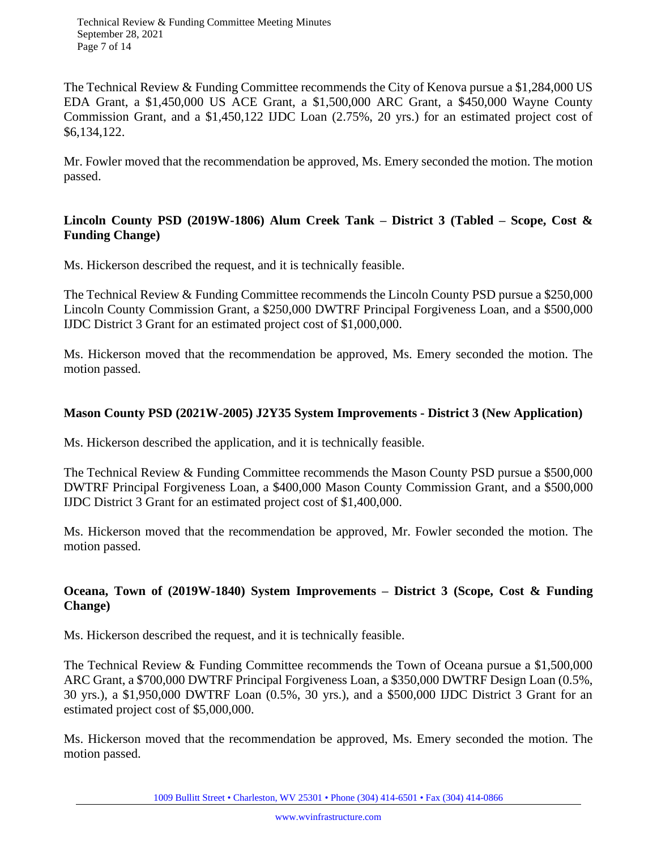Technical Review & Funding Committee Meeting Minutes September 28, 2021 Page 7 of 14

The Technical Review & Funding Committee recommends the City of Kenova pursue a \$1,284,000 US EDA Grant, a \$1,450,000 US ACE Grant, a \$1,500,000 ARC Grant, a \$450,000 Wayne County Commission Grant, and a \$1,450,122 IJDC Loan (2.75%, 20 yrs.) for an estimated project cost of \$6,134,122.

Mr. Fowler moved that the recommendation be approved, Ms. Emery seconded the motion. The motion passed.

## **Lincoln County PSD (2019W-1806) Alum Creek Tank – District 3 (Tabled – Scope, Cost & Funding Change)**

Ms. Hickerson described the request, and it is technically feasible.

The Technical Review & Funding Committee recommends the Lincoln County PSD pursue a \$250,000 Lincoln County Commission Grant, a \$250,000 DWTRF Principal Forgiveness Loan, and a \$500,000 IJDC District 3 Grant for an estimated project cost of \$1,000,000.

Ms. Hickerson moved that the recommendation be approved, Ms. Emery seconded the motion. The motion passed.

## **Mason County PSD (2021W-2005) J2Y35 System Improvements - District 3 (New Application)**

Ms. Hickerson described the application, and it is technically feasible.

The Technical Review & Funding Committee recommends the Mason County PSD pursue a \$500,000 DWTRF Principal Forgiveness Loan, a \$400,000 Mason County Commission Grant, and a \$500,000 IJDC District 3 Grant for an estimated project cost of \$1,400,000.

Ms. Hickerson moved that the recommendation be approved, Mr. Fowler seconded the motion. The motion passed.

# **Oceana, Town of (2019W-1840) System Improvements – District 3 (Scope, Cost & Funding Change)**

Ms. Hickerson described the request, and it is technically feasible.

The Technical Review & Funding Committee recommends the Town of Oceana pursue a \$1,500,000 ARC Grant, a \$700,000 DWTRF Principal Forgiveness Loan, a \$350,000 DWTRF Design Loan (0.5%, 30 yrs.), a \$1,950,000 DWTRF Loan (0.5%, 30 yrs.), and a \$500,000 IJDC District 3 Grant for an estimated project cost of \$5,000,000.

Ms. Hickerson moved that the recommendation be approved, Ms. Emery seconded the motion. The motion passed.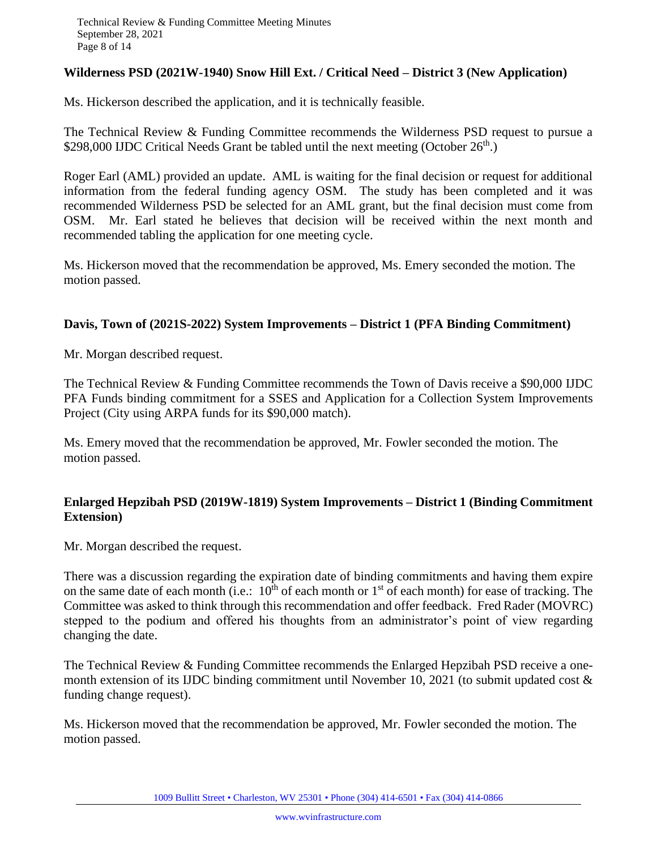## **Wilderness PSD (2021W-1940) Snow Hill Ext. / Critical Need – District 3 (New Application)**

Ms. Hickerson described the application, and it is technically feasible.

The Technical Review & Funding Committee recommends the Wilderness PSD request to pursue a \$298,000 IJDC Critical Needs Grant be tabled until the next meeting (October  $26<sup>th</sup>$ .)

Roger Earl (AML) provided an update. AML is waiting for the final decision or request for additional information from the federal funding agency OSM. The study has been completed and it was recommended Wilderness PSD be selected for an AML grant, but the final decision must come from OSM. Mr. Earl stated he believes that decision will be received within the next month and recommended tabling the application for one meeting cycle.

Ms. Hickerson moved that the recommendation be approved, Ms. Emery seconded the motion. The motion passed.

## **Davis, Town of (2021S-2022) System Improvements – District 1 (PFA Binding Commitment)**

Mr. Morgan described request.

The Technical Review & Funding Committee recommends the Town of Davis receive a \$90,000 IJDC PFA Funds binding commitment for a SSES and Application for a Collection System Improvements Project (City using ARPA funds for its \$90,000 match).

Ms. Emery moved that the recommendation be approved, Mr. Fowler seconded the motion. The motion passed.

## **Enlarged Hepzibah PSD (2019W-1819) System Improvements – District 1 (Binding Commitment Extension)**

Mr. Morgan described the request.

There was a discussion regarding the expiration date of binding commitments and having them expire on the same date of each month (i.e.:  $10^{th}$  of each month or  $1^{st}$  of each month) for ease of tracking. The Committee was asked to think through this recommendation and offer feedback. Fred Rader (MOVRC) stepped to the podium and offered his thoughts from an administrator's point of view regarding changing the date.

The Technical Review & Funding Committee recommends the Enlarged Hepzibah PSD receive a onemonth extension of its IJDC binding commitment until November 10, 2021 (to submit updated cost  $\&$ funding change request).

Ms. Hickerson moved that the recommendation be approved, Mr. Fowler seconded the motion. The motion passed.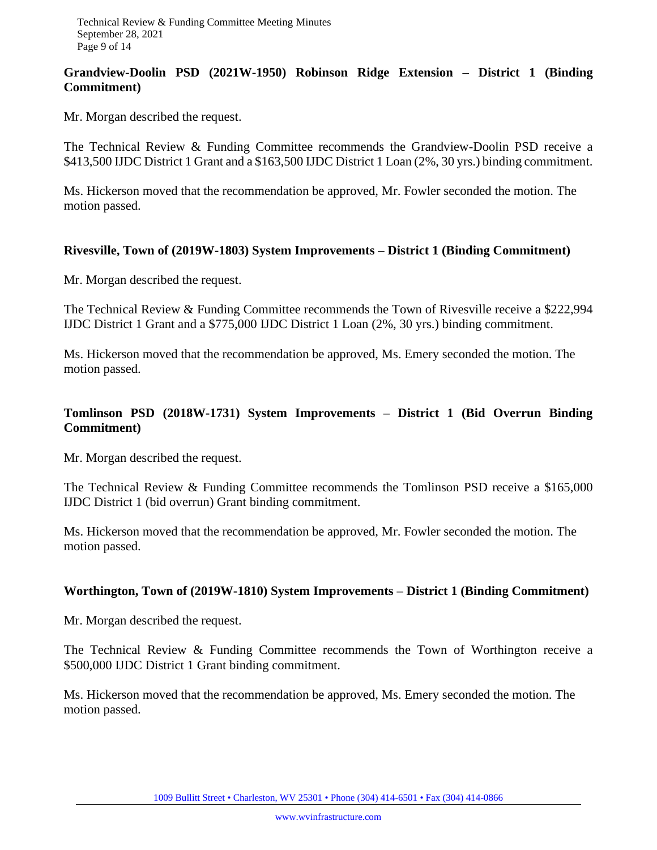## **Grandview-Doolin PSD (2021W-1950) Robinson Ridge Extension – District 1 (Binding Commitment)**

Mr. Morgan described the request.

The Technical Review & Funding Committee recommends the Grandview-Doolin PSD receive a \$413,500 IJDC District 1 Grant and a \$163,500 IJDC District 1 Loan (2%, 30 yrs.) binding commitment.

Ms. Hickerson moved that the recommendation be approved, Mr. Fowler seconded the motion. The motion passed.

#### **Rivesville, Town of (2019W-1803) System Improvements – District 1 (Binding Commitment)**

Mr. Morgan described the request.

The Technical Review & Funding Committee recommends the Town of Rivesville receive a \$222,994 IJDC District 1 Grant and a \$775,000 IJDC District 1 Loan (2%, 30 yrs.) binding commitment.

Ms. Hickerson moved that the recommendation be approved, Ms. Emery seconded the motion. The motion passed.

## **Tomlinson PSD (2018W-1731) System Improvements – District 1 (Bid Overrun Binding Commitment)**

Mr. Morgan described the request.

The Technical Review & Funding Committee recommends the Tomlinson PSD receive a \$165,000 IJDC District 1 (bid overrun) Grant binding commitment.

Ms. Hickerson moved that the recommendation be approved, Mr. Fowler seconded the motion. The motion passed.

## **Worthington, Town of (2019W-1810) System Improvements – District 1 (Binding Commitment)**

Mr. Morgan described the request.

The Technical Review & Funding Committee recommends the Town of Worthington receive a \$500,000 IJDC District 1 Grant binding commitment.

Ms. Hickerson moved that the recommendation be approved, Ms. Emery seconded the motion. The motion passed.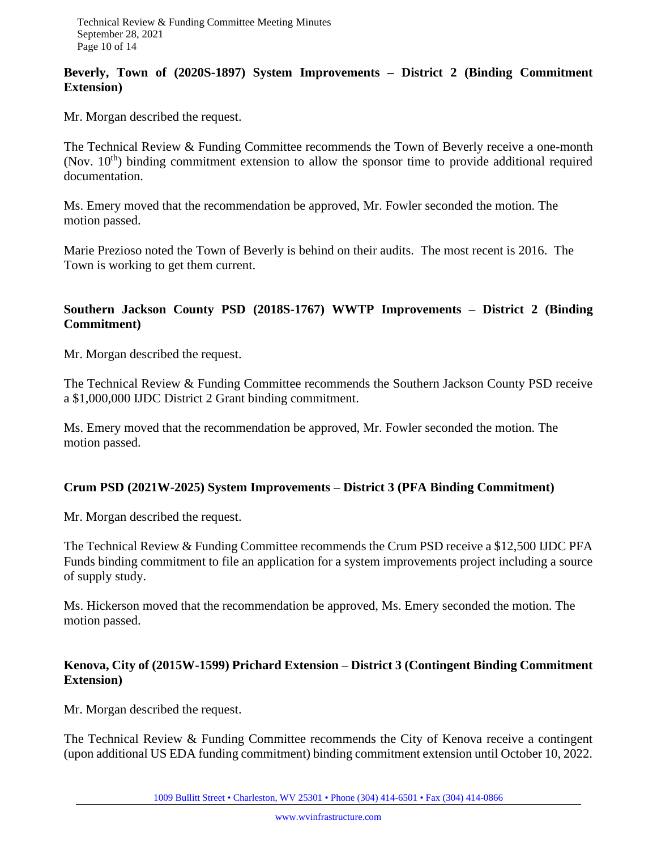## **Beverly, Town of (2020S-1897) System Improvements – District 2 (Binding Commitment Extension)**

Mr. Morgan described the request.

The Technical Review & Funding Committee recommends the Town of Beverly receive a one-month (Nov.  $10^{th}$ ) binding commitment extension to allow the sponsor time to provide additional required documentation.

Ms. Emery moved that the recommendation be approved, Mr. Fowler seconded the motion. The motion passed.

Marie Prezioso noted the Town of Beverly is behind on their audits. The most recent is 2016. The Town is working to get them current.

## **Southern Jackson County PSD (2018S-1767) WWTP Improvements – District 2 (Binding Commitment)**

Mr. Morgan described the request.

The Technical Review & Funding Committee recommends the Southern Jackson County PSD receive a \$1,000,000 IJDC District 2 Grant binding commitment.

Ms. Emery moved that the recommendation be approved, Mr. Fowler seconded the motion. The motion passed.

## **Crum PSD (2021W-2025) System Improvements – District 3 (PFA Binding Commitment)**

Mr. Morgan described the request.

The Technical Review & Funding Committee recommends the Crum PSD receive a \$12,500 IJDC PFA Funds binding commitment to file an application for a system improvements project including a source of supply study.

Ms. Hickerson moved that the recommendation be approved, Ms. Emery seconded the motion. The motion passed.

## **Kenova, City of (2015W-1599) Prichard Extension – District 3 (Contingent Binding Commitment Extension)**

Mr. Morgan described the request.

The Technical Review & Funding Committee recommends the City of Kenova receive a contingent (upon additional US EDA funding commitment) binding commitment extension until October 10, 2022.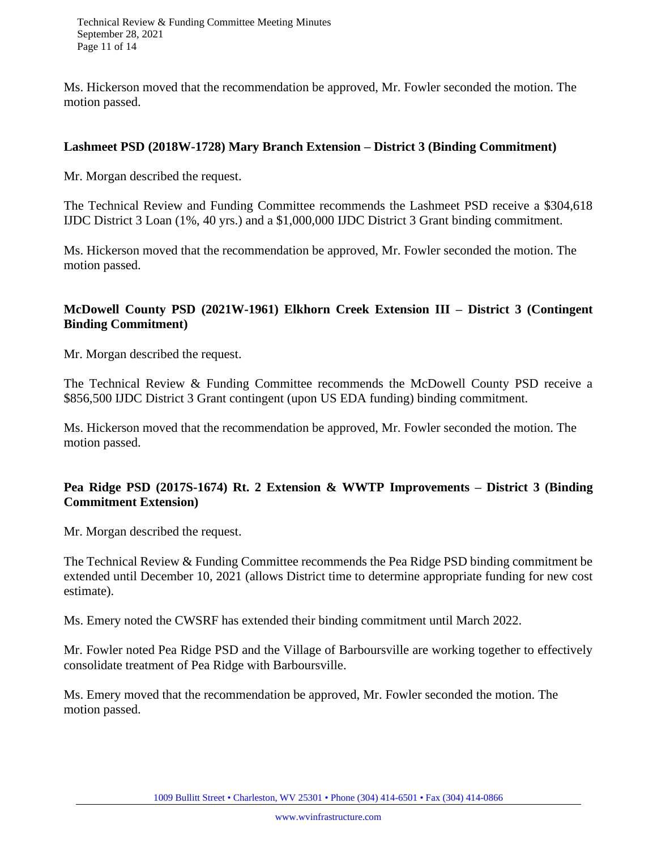Ms. Hickerson moved that the recommendation be approved, Mr. Fowler seconded the motion. The motion passed.

## **Lashmeet PSD (2018W-1728) Mary Branch Extension – District 3 (Binding Commitment)**

Mr. Morgan described the request.

The Technical Review and Funding Committee recommends the Lashmeet PSD receive a \$304,618 IJDC District 3 Loan (1%, 40 yrs.) and a \$1,000,000 IJDC District 3 Grant binding commitment.

Ms. Hickerson moved that the recommendation be approved, Mr. Fowler seconded the motion. The motion passed.

## **McDowell County PSD (2021W-1961) Elkhorn Creek Extension III – District 3 (Contingent Binding Commitment)**

Mr. Morgan described the request.

The Technical Review & Funding Committee recommends the McDowell County PSD receive a \$856,500 IJDC District 3 Grant contingent (upon US EDA funding) binding commitment.

Ms. Hickerson moved that the recommendation be approved, Mr. Fowler seconded the motion. The motion passed.

## **Pea Ridge PSD (2017S-1674) Rt. 2 Extension & WWTP Improvements – District 3 (Binding Commitment Extension)**

Mr. Morgan described the request.

The Technical Review & Funding Committee recommends the Pea Ridge PSD binding commitment be extended until December 10, 2021 (allows District time to determine appropriate funding for new cost estimate).

Ms. Emery noted the CWSRF has extended their binding commitment until March 2022.

Mr. Fowler noted Pea Ridge PSD and the Village of Barboursville are working together to effectively consolidate treatment of Pea Ridge with Barboursville.

Ms. Emery moved that the recommendation be approved, Mr. Fowler seconded the motion. The motion passed.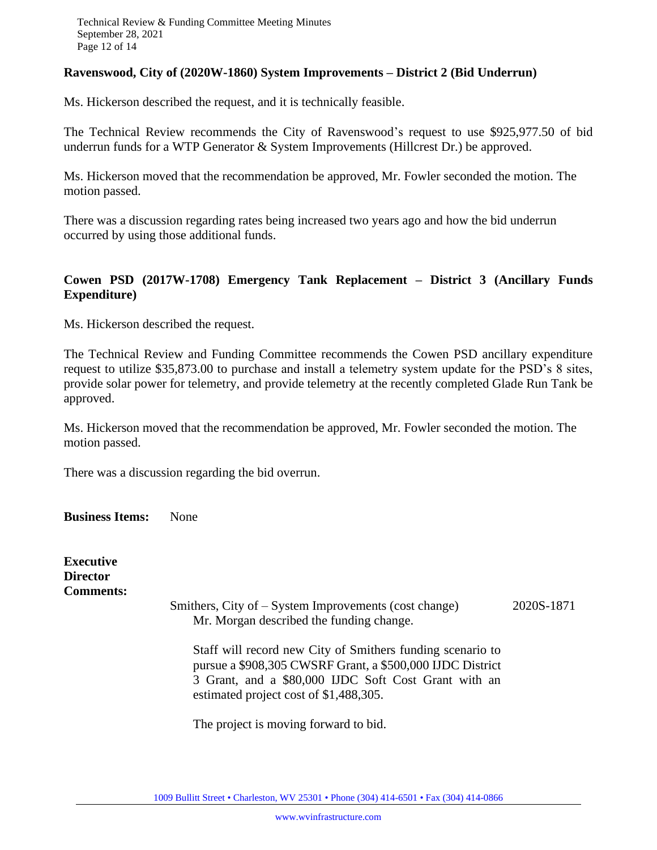#### **Ravenswood, City of (2020W-1860) System Improvements – District 2 (Bid Underrun)**

Ms. Hickerson described the request, and it is technically feasible.

The Technical Review recommends the City of Ravenswood's request to use \$925,977.50 of bid underrun funds for a WTP Generator & System Improvements (Hillcrest Dr.) be approved.

Ms. Hickerson moved that the recommendation be approved, Mr. Fowler seconded the motion. The motion passed.

There was a discussion regarding rates being increased two years ago and how the bid underrun occurred by using those additional funds.

## **Cowen PSD (2017W-1708) Emergency Tank Replacement – District 3 (Ancillary Funds Expenditure)**

Ms. Hickerson described the request.

The Technical Review and Funding Committee recommends the Cowen PSD ancillary expenditure request to utilize \$35,873.00 to purchase and install a telemetry system update for the PSD's 8 sites, provide solar power for telemetry, and provide telemetry at the recently completed Glade Run Tank be approved.

Ms. Hickerson moved that the recommendation be approved, Mr. Fowler seconded the motion. The motion passed.

There was a discussion regarding the bid overrun.

**Business Items:** None

**Executive Director Comments:** Smithers, City of – System Improvements (cost change) 2020S-1871 Mr. Morgan described the funding change. Staff will record new City of Smithers funding scenario to pursue a \$908,305 CWSRF Grant, a \$500,000 IJDC District 3 Grant, and a \$80,000 IJDC Soft Cost Grant with an estimated project cost of \$1,488,305.

The project is moving forward to bid.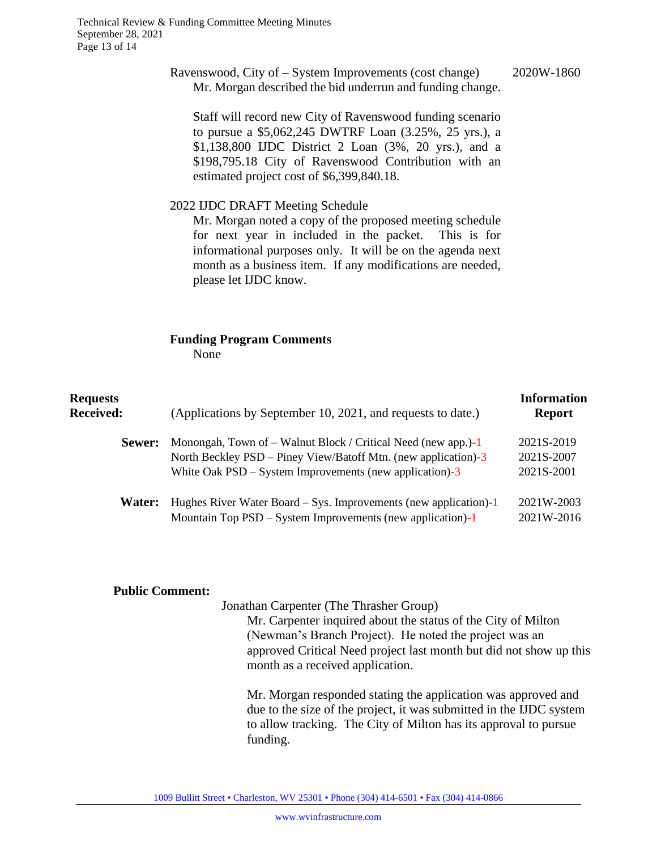Technical Review & Funding Committee Meeting Minutes September 28, 2021 Page 13 of 14

#### Ravenswood, City of – System Improvements (cost change) 2020W-1860 Mr. Morgan described the bid underrun and funding change.

Staff will record new City of Ravenswood funding scenario to pursue a \$5,062,245 DWTRF Loan (3.25%, 25 yrs.), a \$1,138,800 IJDC District 2 Loan (3%, 20 yrs.), and a \$198,795.18 City of Ravenswood Contribution with an estimated project cost of \$6,399,840.18.

#### 2022 IJDC DRAFT Meeting Schedule

Mr. Morgan noted a copy of the proposed meeting schedule for next year in included in the packet. This is for informational purposes only. It will be on the agenda next month as a business item. If any modifications are needed, please let IJDC know.

#### **Funding Program Comments** None

| <b>Requests</b><br><b>Received:</b> | (Applications by September 10, 2021, and requests to date.)                                                                                                                                  | <b>Information</b><br><b>Report</b>    |
|-------------------------------------|----------------------------------------------------------------------------------------------------------------------------------------------------------------------------------------------|----------------------------------------|
| Sewer:                              | Monongah, Town of – Walnut Block / Critical Need (new app.)-1<br>North Beckley PSD – Piney View/Batoff Mtn. (new application)-3<br>White Oak $PSD - System$ Improvements (new application)-3 | 2021S-2019<br>2021S-2007<br>2021S-2001 |
| Water:                              | Hughes River Water Board $-$ Sys. Improvements (new application)-1<br>Mountain Top PSD – System Improvements (new application)-1                                                             | 2021W-2003<br>2021W-2016               |

#### **Public Comment:**

Jonathan Carpenter (The Thrasher Group)

Mr. Carpenter inquired about the status of the City of Milton (Newman's Branch Project). He noted the project was an approved Critical Need project last month but did not show up this month as a received application.

Mr. Morgan responded stating the application was approved and due to the size of the project, it was submitted in the IJDC system to allow tracking. The City of Milton has its approval to pursue funding.